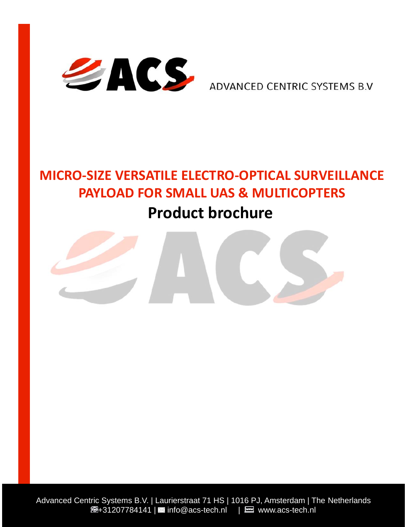

ADVANCED CENTRIC SYSTEMS B.V

# **MICRO-SIZE VERSATILE ELECTRO-OPTICAL SURVEILLANCE PAYLOAD FOR SMALL UAS & MULTICOPTERS Product brochure**

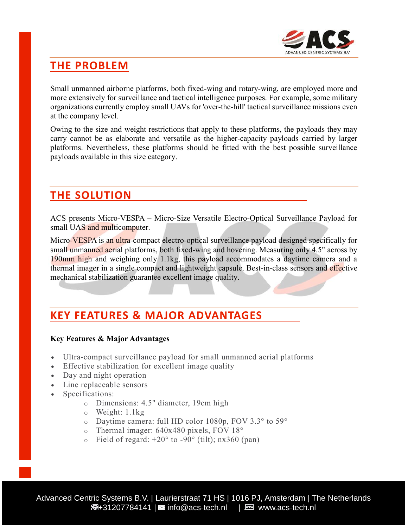

## **THE PROBLEM**

Small unmanned airborne platforms, both fixed-wing and rotary-wing, are employed more and more extensively for surveillance and tactical intelligence purposes. For example, some military organizations currently employ small UAVs for 'over-the-hill' tactical surveillance missions even at the company level.

Owing to the size and weight restrictions that apply to these platforms, the payloads they may carry cannot be as elaborate and versatile as the higher-capacity payloads carried by larger platforms. Nevertheless, these platforms should be fitted with the best possible surveillance payloads available in this size category.

### **THE SOLUTION**

ACS presents Micro-VESPA – Micro-Size Versatile Electro-Optical Surveillance Payload for small UAS and multicomputer.

Micro-VESPA is an ultra-compact electro-optical surveillance payload designed specifically for small unmanned aerial platforms, both fixed-wing and hovering. Measuring only 4.5" across by 190mm high and weighing only 1.1kg, this payload accommodates a daytime camera and a thermal imager in a single compact and lightweight capsule. Best-in-class sensors and effective mechanical stabilization guarantee excellent image quality.

# **KEY FEATURES & MAJOR ADVANTAGES**

#### **Key Features & Major Advantages**

- Ultra-compact surveillance payload for small unmanned aerial platforms
- Effective stabilization for excellent image quality
- Day and night operation
- Line replaceable sensors
- Specifications:
	- o Dimensions: 4.5" diameter, 19cm high
	- o Weight: 1.1kg
	- o Daytime camera: full HD color 1080p, FOV 3.3° to 59°
	- o Thermal imager: 640x480 pixels, FOV 18°
	- $\circ$  Field of regard: +20 $\circ$  to -90 $\circ$  (tilt); nx360 (pan)